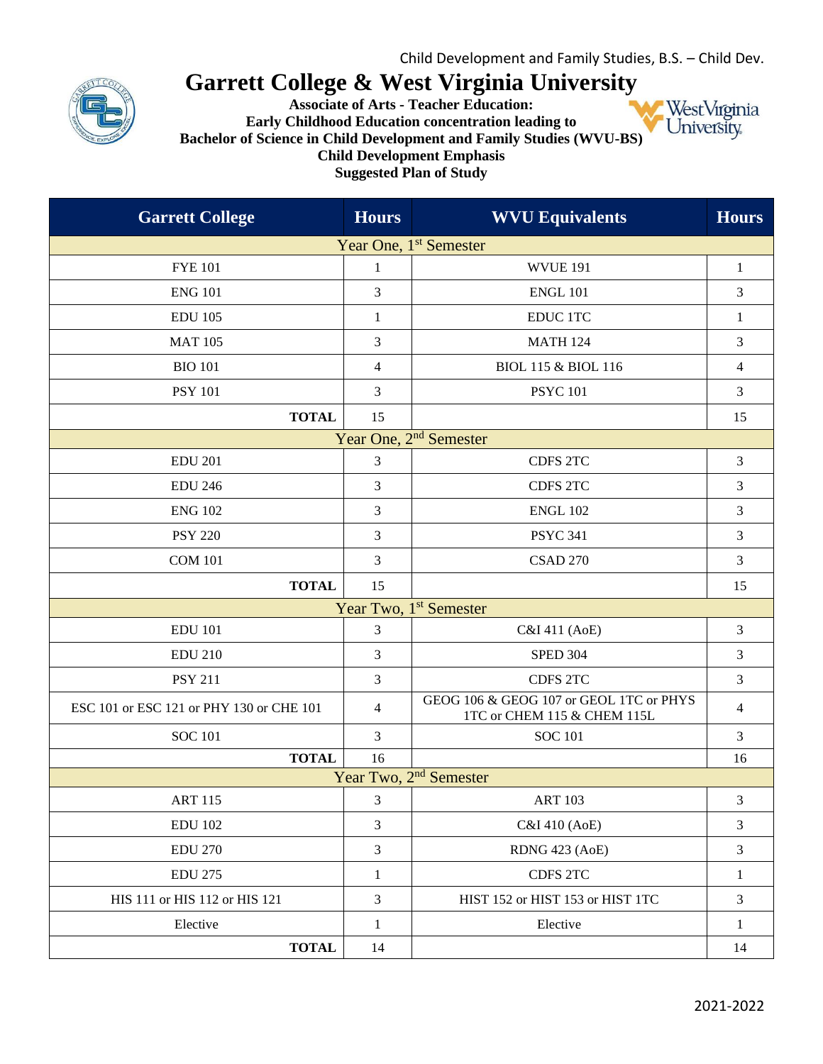

## **Garrett College & West Virginia University**

**Associate of Arts - Teacher Education: Early Childhood Education concentration leading to Bachelor of Science in Child Development and Family Studies (WVU-BS) Child Development Emphasis Suggested Plan of Study**



| <b>Garrett College</b>                   | <b>Hours</b>   | <b>WVU Equivalents</b>                                                 | <b>Hours</b>   |  |
|------------------------------------------|----------------|------------------------------------------------------------------------|----------------|--|
| Year One, 1 <sup>st</sup> Semester       |                |                                                                        |                |  |
| <b>FYE 101</b>                           | $\mathbf{1}$   | <b>WVUE 191</b>                                                        | $\mathbf{1}$   |  |
| <b>ENG 101</b>                           | 3              | <b>ENGL 101</b>                                                        | 3              |  |
| <b>EDU 105</b>                           | $\mathbf{1}$   | <b>EDUC 1TC</b>                                                        | $\mathbf{1}$   |  |
| <b>MAT 105</b>                           | 3              | <b>MATH 124</b>                                                        | 3              |  |
| <b>BIO 101</b>                           | 4              | <b>BIOL 115 &amp; BIOL 116</b>                                         | 4              |  |
| <b>PSY 101</b>                           | 3              | <b>PSYC 101</b>                                                        | 3              |  |
| <b>TOTAL</b>                             | 15             |                                                                        | 15             |  |
|                                          |                | Year One, 2 <sup>nd</sup> Semester                                     |                |  |
| <b>EDU 201</b>                           | 3              | <b>CDFS 2TC</b>                                                        | 3              |  |
| <b>EDU 246</b>                           | 3              | <b>CDFS 2TC</b>                                                        | 3              |  |
| <b>ENG 102</b>                           | 3              | <b>ENGL 102</b>                                                        | 3              |  |
| <b>PSY 220</b>                           | 3              | <b>PSYC 341</b>                                                        | 3              |  |
| <b>COM 101</b>                           | 3              | <b>CSAD 270</b>                                                        | 3              |  |
| <b>TOTAL</b>                             | 15             |                                                                        | 15             |  |
| Year Two, 1 <sup>st</sup> Semester       |                |                                                                        |                |  |
| <b>EDU 101</b>                           | 3              | C&I 411 (AoE)                                                          | 3              |  |
| <b>EDU 210</b>                           | 3              | <b>SPED 304</b>                                                        | 3              |  |
| <b>PSY 211</b>                           | 3              | <b>CDFS 2TC</b>                                                        | 3              |  |
| ESC 101 or ESC 121 or PHY 130 or CHE 101 | $\overline{4}$ | GEOG 106 & GEOG 107 or GEOL 1TC or PHYS<br>1TC or CHEM 115 & CHEM 115L | $\overline{4}$ |  |
| <b>SOC 101</b>                           | 3              | <b>SOC 101</b>                                                         | 3              |  |
| <b>TOTAL</b>                             | 16             |                                                                        | 16             |  |
|                                          |                | Year Two, 2 <sup>nd</sup> Semester                                     |                |  |
| <b>ART 115</b>                           | 3              | <b>ART 103</b>                                                         | 3              |  |
| <b>EDU 102</b>                           | 3              | C&I 410 (AoE)                                                          | 3              |  |
| <b>EDU 270</b>                           | $\mathfrak{Z}$ | RDNG 423 (AoE)                                                         | 3              |  |
| <b>EDU 275</b>                           | $\mathbf{1}$   | CDFS 2TC                                                               | $\mathbf{1}$   |  |
| HIS 111 or HIS 112 or HIS 121            | 3              | HIST 152 or HIST 153 or HIST 1TC                                       | 3              |  |
| Elective                                 | $\mathbf{1}$   | Elective                                                               | 1              |  |
| <b>TOTAL</b>                             | 14             |                                                                        | 14             |  |